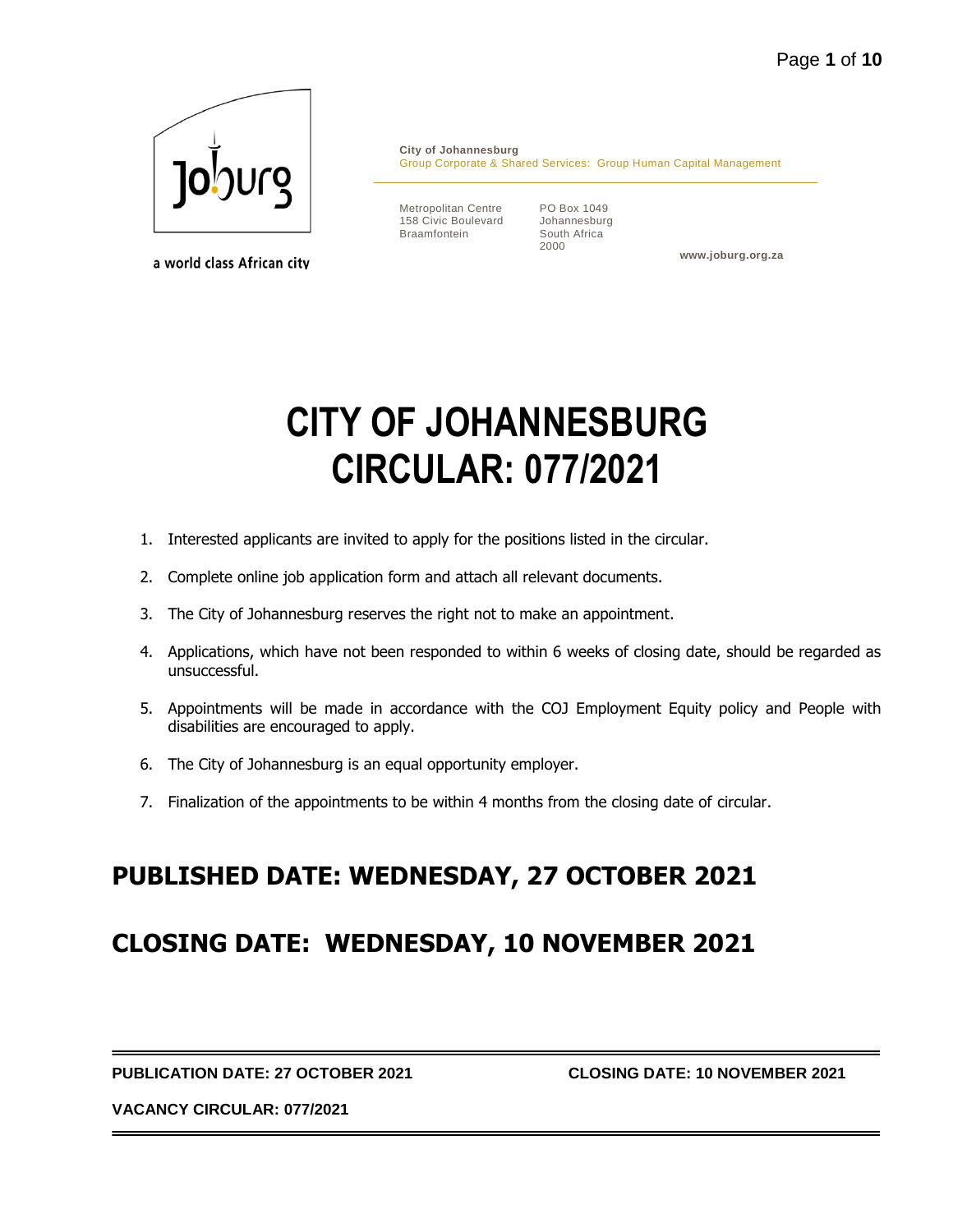

a world class African city

**City of Johannesburg** Group Corporate & Shared Services: Group Human Capital Management

Metropolitan Centre 158 Civic Boulevard Braamfontein

PO Box 1049 Johannesburg South Africa 2000

**www.joburg.org.za**

# **CITY OF JOHANNESBURG CIRCULAR: 077/2021**

- 1. Interested applicants are invited to apply for the positions listed in the circular.
- 2. Complete online job application form and attach all relevant documents.
- 3. The City of Johannesburg reserves the right not to make an appointment.
- 4. Applications, which have not been responded to within 6 weeks of closing date, should be regarded as unsuccessful.
- 5. Appointments will be made in accordance with the COJ Employment Equity policy and People with disabilities are encouraged to apply.
- 6. The City of Johannesburg is an equal opportunity employer.
- 7. Finalization of the appointments to be within 4 months from the closing date of circular.

# **PUBLISHED DATE: WEDNESDAY, 27 OCTOBER 2021**

# **CLOSING DATE: WEDNESDAY, 10 NOVEMBER 2021**

**PUBLICATION DATE: 27 OCTOBER 2021 CLOSING DATE: 10 NOVEMBER 2021**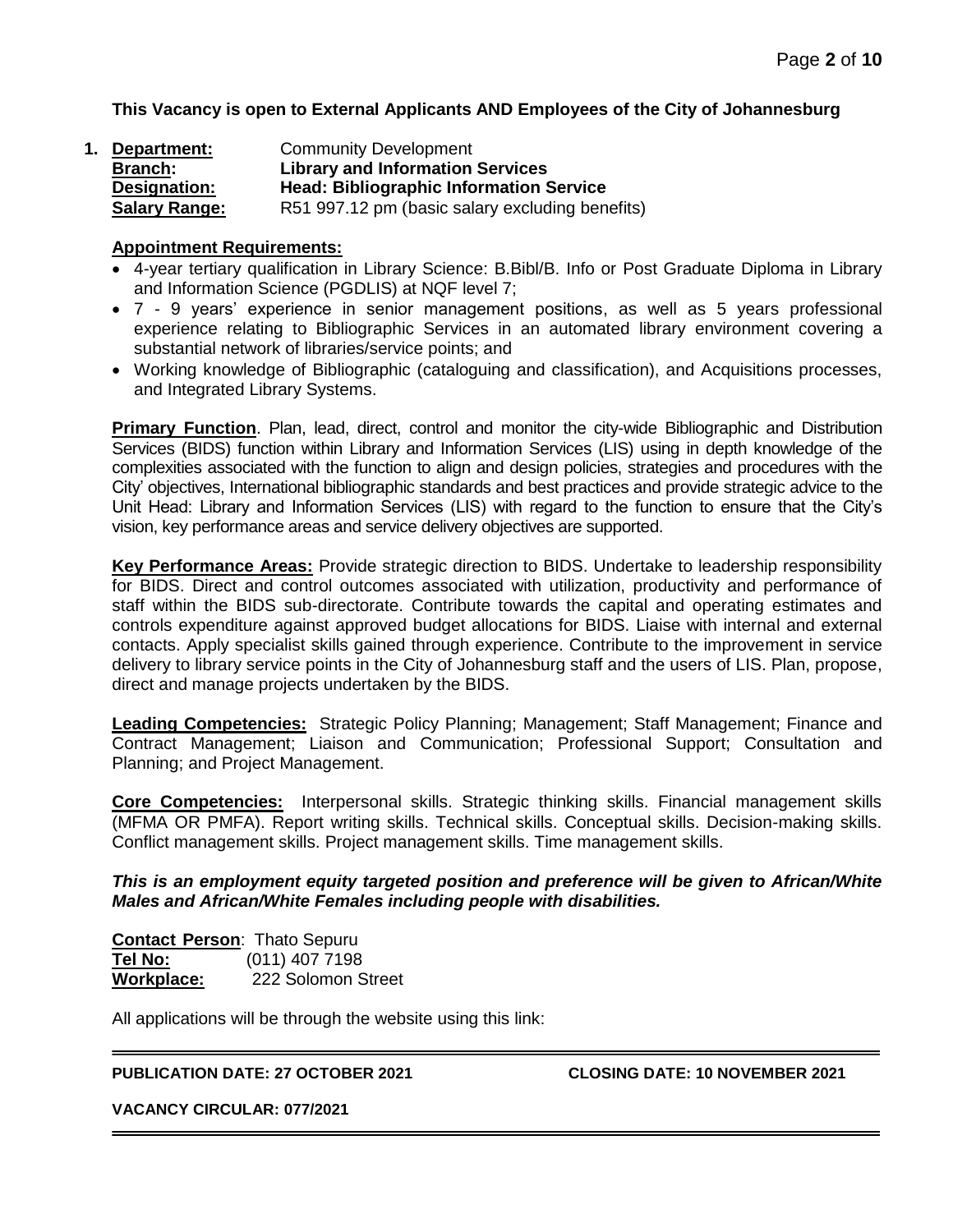**This Vacancy is open to External Applicants AND Employees of the City of Johannesburg**

| Department:          | <b>Community Development</b>                    |
|----------------------|-------------------------------------------------|
| <b>Branch:</b>       | <b>Library and Information Services</b>         |
| Designation:         | <b>Head: Bibliographic Information Service</b>  |
| <b>Salary Range:</b> | R51 997.12 pm (basic salary excluding benefits) |

#### **Appointment Requirements:**

- 4-year tertiary qualification in Library Science: B.Bibl/B. Info or Post Graduate Diploma in Library and Information Science (PGDLIS) at NQF level 7;
- 7 9 years' experience in senior management positions, as well as 5 years professional experience relating to Bibliographic Services in an automated library environment covering a substantial network of libraries/service points; and
- Working knowledge of Bibliographic (cataloguing and classification), and Acquisitions processes, and Integrated Library Systems.

**Primary Function**. Plan, lead, direct, control and monitor the city-wide Bibliographic and Distribution Services (BIDS) function within Library and Information Services (LIS) using in depth knowledge of the complexities associated with the function to align and design policies, strategies and procedures with the City' objectives, International bibliographic standards and best practices and provide strategic advice to the Unit Head: Library and Information Services (LIS) with regard to the function to ensure that the City's vision, key performance areas and service delivery objectives are supported.

**Key Performance Areas:** Provide strategic direction to BIDS. Undertake to leadership responsibility for BIDS. Direct and control outcomes associated with utilization, productivity and performance of staff within the BIDS sub-directorate. Contribute towards the capital and operating estimates and controls expenditure against approved budget allocations for BIDS. Liaise with internal and external contacts. Apply specialist skills gained through experience. Contribute to the improvement in service delivery to library service points in the City of Johannesburg staff and the users of LIS. Plan, propose, direct and manage projects undertaken by the BIDS.

**Leading Competencies:** Strategic Policy Planning; Management; Staff Management; Finance and Contract Management; Liaison and Communication; Professional Support; Consultation and Planning; and Project Management.

**Core Competencies:** Interpersonal skills. Strategic thinking skills. Financial management skills (MFMA OR PMFA). Report writing skills. Technical skills. Conceptual skills. Decision-making skills. Conflict management skills. Project management skills. Time management skills.

#### *This is an employment equity targeted position and preference will be given to African/White Males and African/White Females including people with disabilities.*

**Contact Person**: Thato Sepuru **Tel No:** (011) 407 7198 **Workplace:** 222 Solomon Street

All applications will be through the website using this link:

#### **PUBLICATION DATE: 27 OCTOBER 2021 CLOSING DATE: 10 NOVEMBER 2021**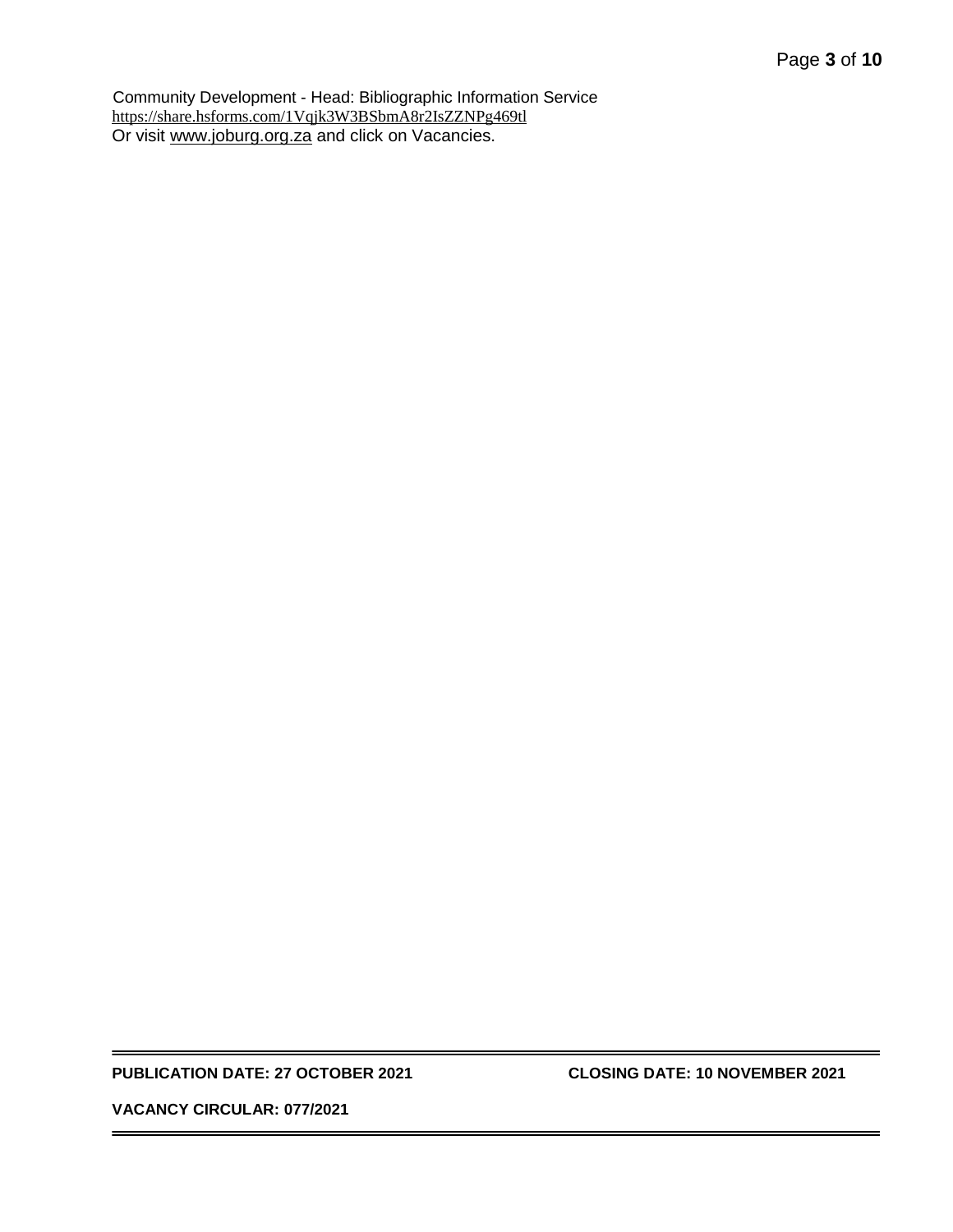Community Development - Head: Bibliographic Information Service <https://share.hsforms.com/1Vqjk3W3BSbmA8r2IsZZNPg469tl> Or visit [www.joburg.org.za](http://www.joburg.org.za/) and click on Vacancies.

#### **PUBLICATION DATE: 27 OCTOBER 2021 CLOSING DATE: 10 NOVEMBER 2021**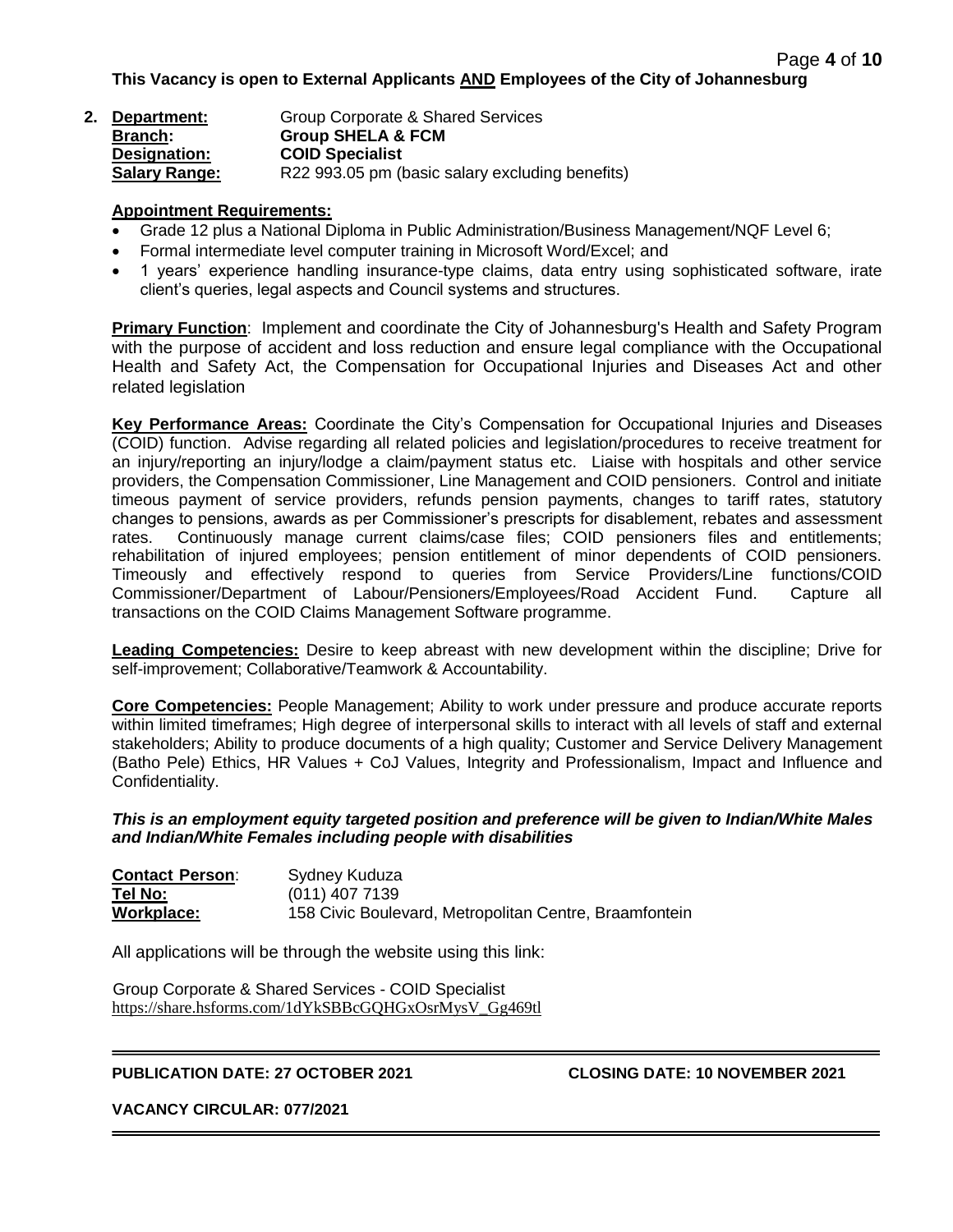| 2. Department:       | Group Corporate & Shared Services               |
|----------------------|-------------------------------------------------|
| <b>Branch:</b>       | <b>Group SHELA &amp; FCM</b>                    |
| Designation:         | <b>COID Specialist</b>                          |
| <b>Salary Range:</b> | R22 993.05 pm (basic salary excluding benefits) |

#### **Appointment Requirements:**

- Grade 12 plus a National Diploma in Public Administration/Business Management/NQF Level 6;
- Formal intermediate level computer training in Microsoft Word/Excel; and
- 1 years' experience handling insurance-type claims, data entry using sophisticated software, irate client's queries, legal aspects and Council systems and structures.

**Primary Function**: Implement and coordinate the City of Johannesburg's Health and Safety Program with the purpose of accident and loss reduction and ensure legal compliance with the Occupational Health and Safety Act, the Compensation for Occupational Injuries and Diseases Act and other related legislation

**Key Performance Areas:** Coordinate the City's Compensation for Occupational Injuries and Diseases (COID) function. Advise regarding all related policies and legislation/procedures to receive treatment for an injury/reporting an injury/lodge a claim/payment status etc. Liaise with hospitals and other service providers, the Compensation Commissioner, Line Management and COID pensioners. Control and initiate timeous payment of service providers, refunds pension payments, changes to tariff rates, statutory changes to pensions, awards as per Commissioner's prescripts for disablement, rebates and assessment rates. Continuously manage current claims/case files; COID pensioners files and entitlements; rehabilitation of injured employees; pension entitlement of minor dependents of COID pensioners. Timeously and effectively respond to queries from Service Providers/Line functions/COID Commissioner/Department of Labour/Pensioners/Employees/Road Accident Fund. Capture all transactions on the COID Claims Management Software programme.

**Leading Competencies:** Desire to keep abreast with new development within the discipline; Drive for self-improvement; Collaborative/Teamwork & Accountability.

**Core Competencies:** People Management; Ability to work under pressure and produce accurate reports within limited timeframes; High degree of interpersonal skills to interact with all levels of staff and external stakeholders; Ability to produce documents of a high quality; Customer and Service Delivery Management (Batho Pele) Ethics, HR Values + CoJ Values, Integrity and Professionalism, Impact and Influence and Confidentiality.

*This is an employment equity targeted position and preference will be given to Indian/White Males and Indian/White Females including people with disabilities*

| <b>Contact Person:</b> | Sydney Kuduza                                          |
|------------------------|--------------------------------------------------------|
| Tel No:                | $(011)$ 407 7139                                       |
| Workplace:             | 158 Civic Boulevard, Metropolitan Centre, Braamfontein |

All applications will be through the website using this link:

Group Corporate & Shared Services - COID Specialist [https://share.hsforms.com/1dYkSBBcGQHGxOsrMysV\\_Gg469tl](https://share.hsforms.com/1dYkSBBcGQHGxOsrMysV_Gg469tl)

#### **PUBLICATION DATE: 27 OCTOBER 2021 CLOSING DATE: 10 NOVEMBER 2021**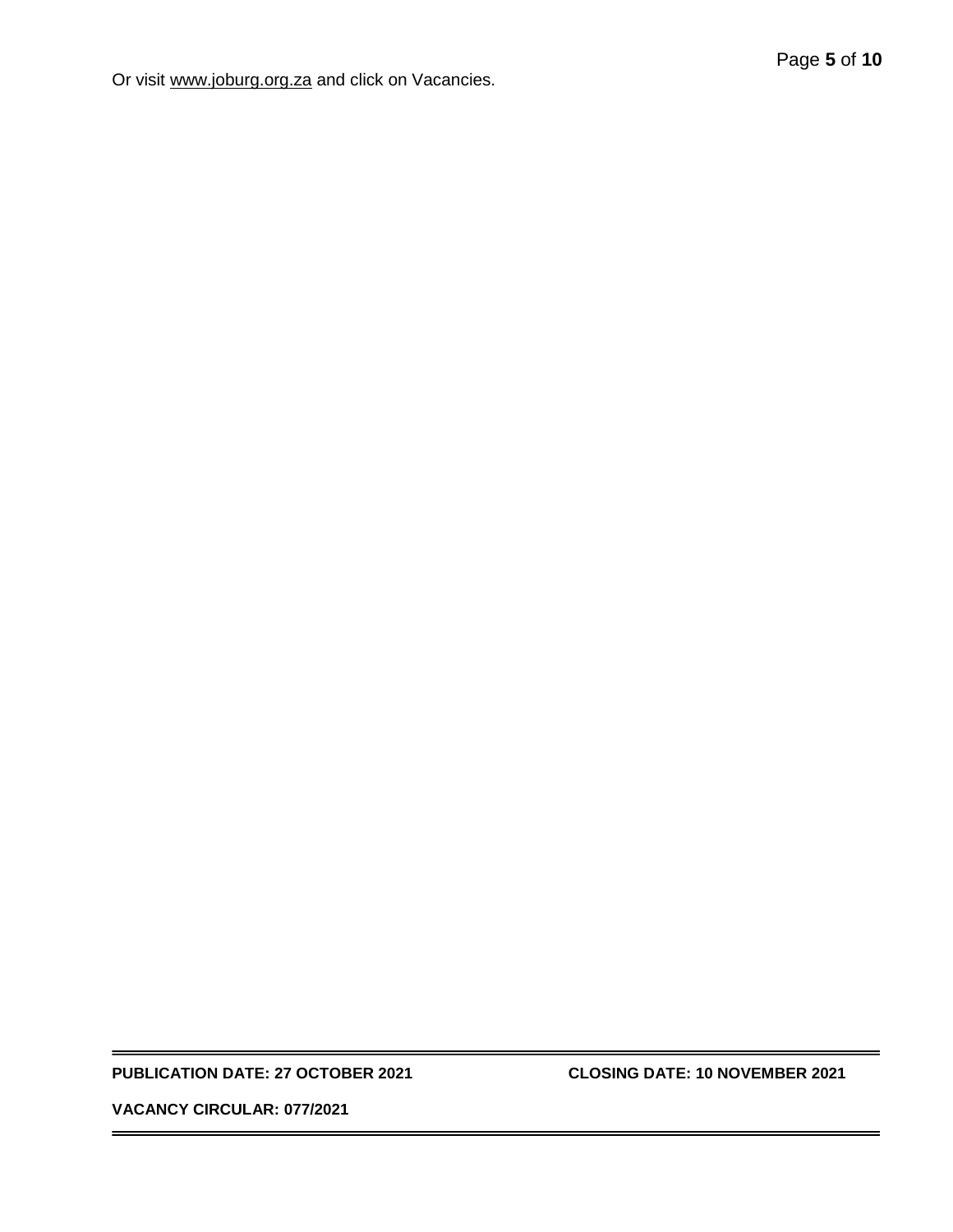Or visit [www.joburg.org.za](http://www.joburg.org.za/) and click on Vacancies.

#### **PUBLICATION DATE: 27 OCTOBER 2021 CLOSING DATE: 10 NOVEMBER 2021**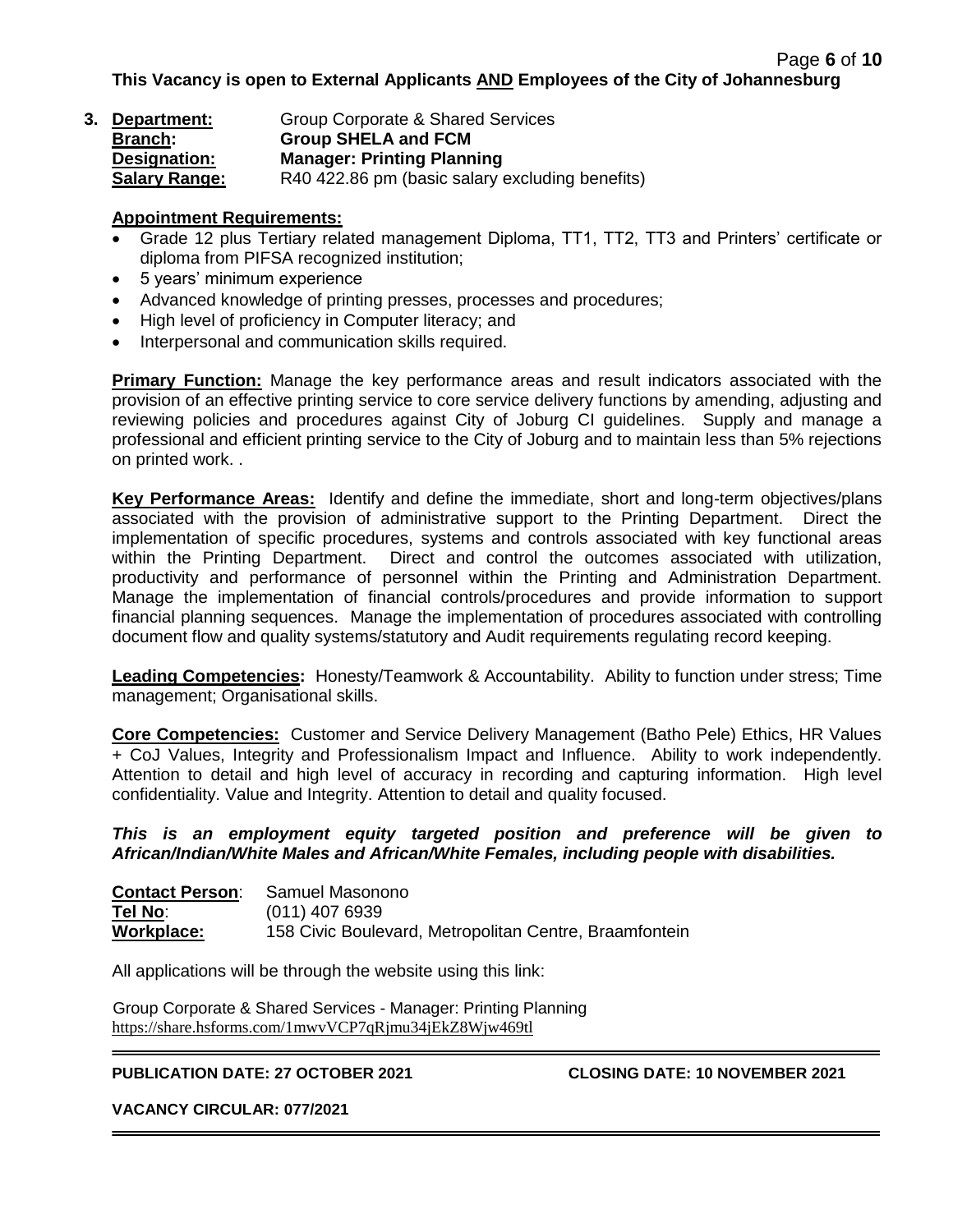**This Vacancy is open to External Applicants AND Employees of the City of Johannesburg**

| 3. Department:       | Group Corporate & Shared Services               |
|----------------------|-------------------------------------------------|
| <b>Branch:</b>       | <b>Group SHELA and FCM</b>                      |
| Designation:         | <b>Manager: Printing Planning</b>               |
| <b>Salary Range:</b> | R40 422.86 pm (basic salary excluding benefits) |

#### **Appointment Requirements:**

- Grade 12 plus Tertiary related management Diploma, TT1, TT2, TT3 and Printers' certificate or diploma from PIFSA recognized institution;
- 5 years' minimum experience
- Advanced knowledge of printing presses, processes and procedures;
- High level of proficiency in Computer literacy; and
- Interpersonal and communication skills required.

**Primary Function:** Manage the key performance areas and result indicators associated with the provision of an effective printing service to core service delivery functions by amending, adjusting and reviewing policies and procedures against City of Joburg CI guidelines. Supply and manage a professional and efficient printing service to the City of Joburg and to maintain less than 5% rejections on printed work. .

**Key Performance Areas:** Identify and define the immediate, short and long-term objectives/plans associated with the provision of administrative support to the Printing Department. Direct the implementation of specific procedures, systems and controls associated with key functional areas within the Printing Department. Direct and control the outcomes associated with utilization, productivity and performance of personnel within the Printing and Administration Department. Manage the implementation of financial controls/procedures and provide information to support financial planning sequences. Manage the implementation of procedures associated with controlling document flow and quality systems/statutory and Audit requirements regulating record keeping.

**Leading Competencies:** Honesty/Teamwork & Accountability. Ability to function under stress; Time management; Organisational skills.

**Core Competencies:** Customer and Service Delivery Management (Batho Pele) Ethics, HR Values + CoJ Values, Integrity and Professionalism Impact and Influence. Ability to work independently. Attention to detail and high level of accuracy in recording and capturing information. High level confidentiality. Value and Integrity. Attention to detail and quality focused.

#### *This is an employment equity targeted position and preference will be given to African/Indian/White Males and African/White Females, including people with disabilities.*

| <b>Contact Person:</b> | Samuel Masonono                                        |
|------------------------|--------------------------------------------------------|
| Tel No:                | $(011)$ 407 6939                                       |
| Workplace:             | 158 Civic Boulevard, Metropolitan Centre, Braamfontein |

All applications will be through the website using this link:

Group Corporate & Shared Services - Manager: Printing Planning <https://share.hsforms.com/1mwvVCP7qRjmu34jEkZ8Wjw469tl>

#### **PUBLICATION DATE: 27 OCTOBER 2021 CLOSING DATE: 10 NOVEMBER 2021**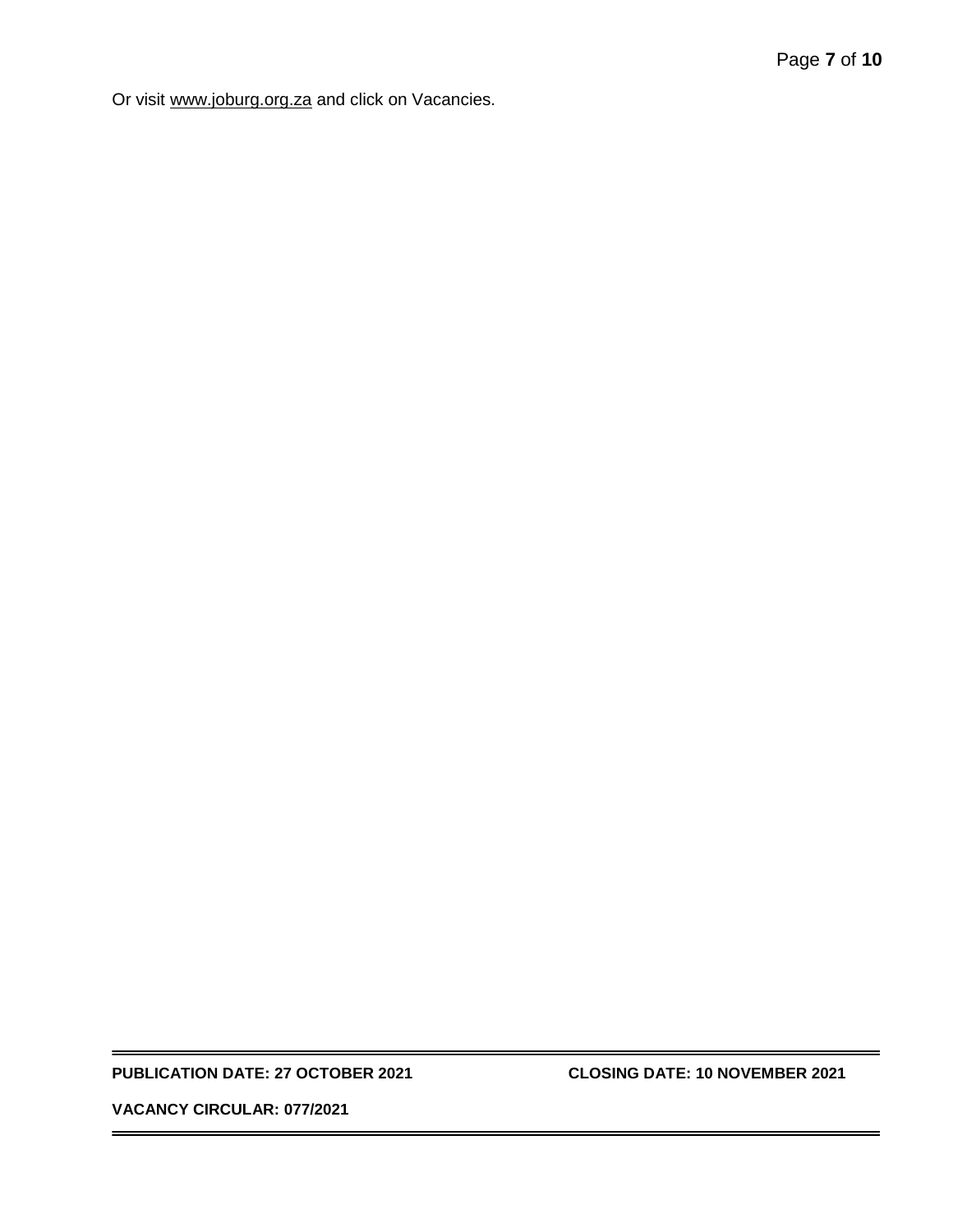Or visit [www.joburg.org.za](http://www.joburg.org.za/) and click on Vacancies.

#### **PUBLICATION DATE: 27 OCTOBER 2021 CLOSING DATE: 10 NOVEMBER 2021**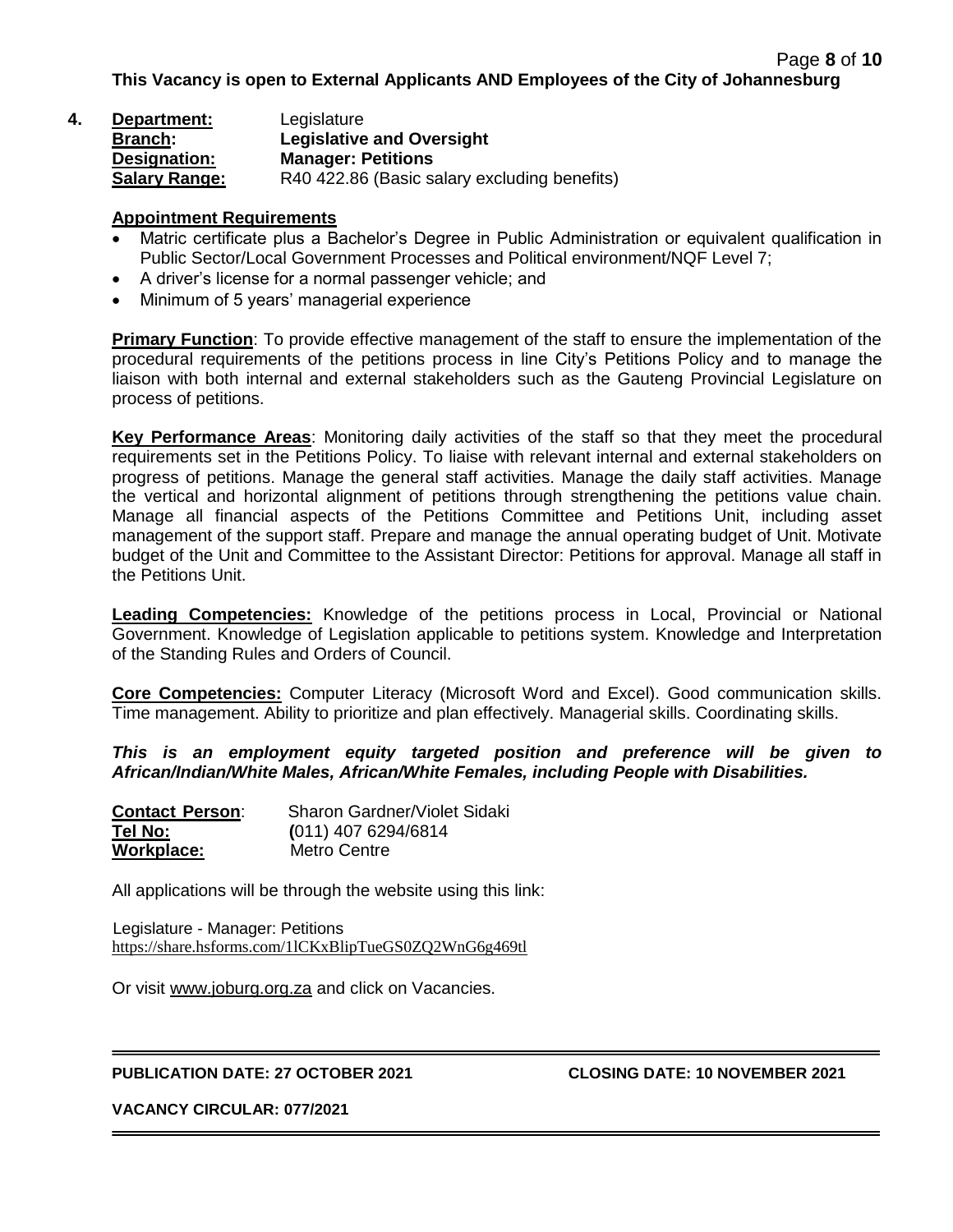| 4. | Department:          | Legislature                                  |
|----|----------------------|----------------------------------------------|
|    | <b>Branch:</b>       | <b>Legislative and Oversight</b>             |
|    | Designation:         | <b>Manager: Petitions</b>                    |
|    | <b>Salary Range:</b> | R40 422.86 (Basic salary excluding benefits) |

#### **Appointment Requirements**

- Matric certificate plus a Bachelor's Degree in Public Administration or equivalent qualification in Public Sector/Local Government Processes and Political environment/NQF Level 7;
- A driver's license for a normal passenger vehicle; and
- Minimum of 5 years' managerial experience

**Primary Function**: To provide effective management of the staff to ensure the implementation of the procedural requirements of the petitions process in line City's Petitions Policy and to manage the liaison with both internal and external stakeholders such as the Gauteng Provincial Legislature on process of petitions.

**Key Performance Areas**: Monitoring daily activities of the staff so that they meet the procedural requirements set in the Petitions Policy. To liaise with relevant internal and external stakeholders on progress of petitions. Manage the general staff activities. Manage the daily staff activities. Manage the vertical and horizontal alignment of petitions through strengthening the petitions value chain. Manage all financial aspects of the Petitions Committee and Petitions Unit, including asset management of the support staff. Prepare and manage the annual operating budget of Unit. Motivate budget of the Unit and Committee to the Assistant Director: Petitions for approval. Manage all staff in the Petitions Unit.

**Leading Competencies:** Knowledge of the petitions process in Local, Provincial or National Government. Knowledge of Legislation applicable to petitions system. Knowledge and Interpretation of the Standing Rules and Orders of Council.

**Core Competencies:** Computer Literacy (Microsoft Word and Excel). Good communication skills. Time management. Ability to prioritize and plan effectively. Managerial skills. Coordinating skills.

*This is an employment equity targeted position and preference will be given to African/Indian/White Males, African/White Females, including People with Disabilities.*

| <b>Contact Person:</b> | Sharon Gardner/Violet Sidaki |
|------------------------|------------------------------|
| Tel No:                | $(011)$ 407 6294/6814        |
| Workplace:             | Metro Centre                 |

All applications will be through the website using this link:

Legislature - Manager: Petitions <https://share.hsforms.com/1lCKxBlipTueGS0ZQ2WnG6g469tl>

Or visit [www.joburg.org.za](http://www.joburg.org.za/) and click on Vacancies.

#### **PUBLICATION DATE: 27 OCTOBER 2021 CLOSING DATE: 10 NOVEMBER 2021**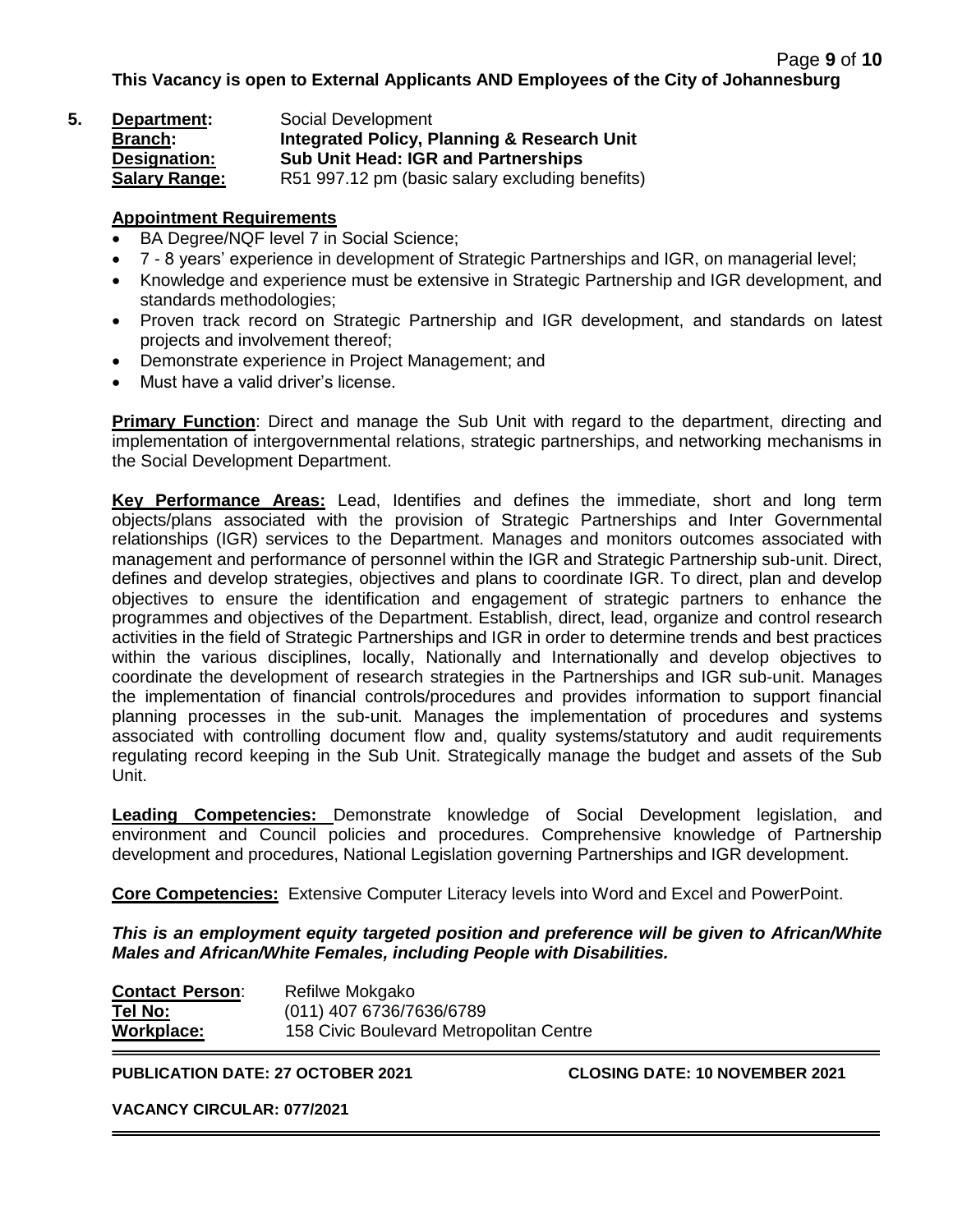| 5. | Department:          | Social Development                                     |
|----|----------------------|--------------------------------------------------------|
|    | <b>Branch:</b>       | <b>Integrated Policy, Planning &amp; Research Unit</b> |
|    | Designation:         | <b>Sub Unit Head: IGR and Partnerships</b>             |
|    | <b>Salary Range:</b> | R51 997.12 pm (basic salary excluding benefits)        |

### **Appointment Requirements**

- BA Degree/NQF level 7 in Social Science;
- 7 8 years' experience in development of Strategic Partnerships and IGR, on managerial level;
- Knowledge and experience must be extensive in Strategic Partnership and IGR development, and standards methodologies;
- Proven track record on Strategic Partnership and IGR development, and standards on latest projects and involvement thereof;
- Demonstrate experience in Project Management; and
- Must have a valid driver's license.

**Primary Function**: Direct and manage the Sub Unit with regard to the department, directing and implementation of intergovernmental relations, strategic partnerships, and networking mechanisms in the Social Development Department.

**Key Performance Areas:** Lead, Identifies and defines the immediate, short and long term objects/plans associated with the provision of Strategic Partnerships and Inter Governmental relationships (IGR) services to the Department. Manages and monitors outcomes associated with management and performance of personnel within the IGR and Strategic Partnership sub-unit. Direct, defines and develop strategies, objectives and plans to coordinate IGR. To direct, plan and develop objectives to ensure the identification and engagement of strategic partners to enhance the programmes and objectives of the Department. Establish, direct, lead, organize and control research activities in the field of Strategic Partnerships and IGR in order to determine trends and best practices within the various disciplines, locally, Nationally and Internationally and develop objectives to coordinate the development of research strategies in the Partnerships and IGR sub-unit. Manages the implementation of financial controls/procedures and provides information to support financial planning processes in the sub-unit. Manages the implementation of procedures and systems associated with controlling document flow and, quality systems/statutory and audit requirements regulating record keeping in the Sub Unit. Strategically manage the budget and assets of the Sub Unit.

**Leading Competencies:** Demonstrate knowledge of Social Development legislation, and environment and Council policies and procedures. Comprehensive knowledge of Partnership development and procedures, National Legislation governing Partnerships and IGR development.

**Core Competencies:** Extensive Computer Literacy levels into Word and Excel and PowerPoint.

*This is an employment equity targeted position and preference will be given to African/White Males and African/White Females, including People with Disabilities.*

| <b>Contact Person:</b> | Refilwe Mokgako                         |
|------------------------|-----------------------------------------|
| Tel No:                | (011) 407 6736/7636/6789                |
| Workplace:             | 158 Civic Boulevard Metropolitan Centre |

**PUBLICATION DATE: 27 OCTOBER 2021 CLOSING DATE: 10 NOVEMBER 2021**